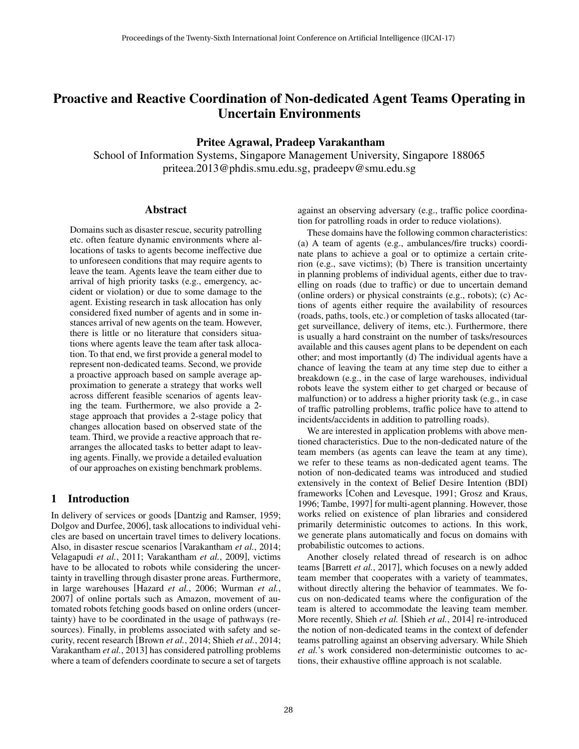# Proactive and Reactive Coordination of Non-dedicated Agent Teams Operating in Uncertain Environments

# Pritee Agrawal, Pradeep Varakantham

School of Information Systems, Singapore Management University, Singapore 188065 priteea.2013@phdis.smu.edu.sg, pradeepv@smu.edu.sg

### Abstract

Domains such as disaster rescue, security patrolling etc. often feature dynamic environments where allocations of tasks to agents become ineffective due to unforeseen conditions that may require agents to leave the team. Agents leave the team either due to arrival of high priority tasks (e.g., emergency, accident or violation) or due to some damage to the agent. Existing research in task allocation has only considered fixed number of agents and in some instances arrival of new agents on the team. However, there is little or no literature that considers situations where agents leave the team after task allocation. To that end, we first provide a general model to represent non-dedicated teams. Second, we provide a proactive approach based on sample average approximation to generate a strategy that works well across different feasible scenarios of agents leaving the team. Furthermore, we also provide a 2 stage approach that provides a 2-stage policy that changes allocation based on observed state of the team. Third, we provide a reactive approach that rearranges the allocated tasks to better adapt to leaving agents. Finally, we provide a detailed evaluation of our approaches on existing benchmark problems.

# 1 Introduction

In delivery of services or goods [Dantzig and Ramser, 1959; Dolgov and Durfee, 2006], task allocations to individual vehicles are based on uncertain travel times to delivery locations. Also, in disaster rescue scenarios [Varakantham *et al.*, 2014; Velagapudi *et al.*, 2011; Varakantham *et al.*, 2009], victims have to be allocated to robots while considering the uncertainty in travelling through disaster prone areas. Furthermore, in large warehouses [Hazard *et al.*, 2006; Wurman *et al.*, 2007] of online portals such as Amazon, movement of automated robots fetching goods based on online orders (uncertainty) have to be coordinated in the usage of pathways (resources). Finally, in problems associated with safety and security, recent research [Brown *et al.*, 2014; Shieh *et al.*, 2014; Varakantham *et al.*, 2013] has considered patrolling problems where a team of defenders coordinate to secure a set of targets against an observing adversary (e.g., traffic police coordination for patrolling roads in order to reduce violations).

These domains have the following common characteristics: (a) A team of agents (e.g., ambulances/fire trucks) coordinate plans to achieve a goal or to optimize a certain criterion (e.g., save victims); (b) There is transition uncertainty in planning problems of individual agents, either due to travelling on roads (due to traffic) or due to uncertain demand (online orders) or physical constraints (e.g., robots); (c) Actions of agents either require the availability of resources (roads, paths, tools, etc.) or completion of tasks allocated (target surveillance, delivery of items, etc.). Furthermore, there is usually a hard constraint on the number of tasks/resources available and this causes agent plans to be dependent on each other; and most importantly (d) The individual agents have a chance of leaving the team at any time step due to either a breakdown (e.g., in the case of large warehouses, individual robots leave the system either to get charged or because of malfunction) or to address a higher priority task (e.g., in case of traffic patrolling problems, traffic police have to attend to incidents/accidents in addition to patrolling roads).

We are interested in application problems with above mentioned characteristics. Due to the non-dedicated nature of the team members (as agents can leave the team at any time), we refer to these teams as non-dedicated agent teams. The notion of non-dedicated teams was introduced and studied extensively in the context of Belief Desire Intention (BDI) frameworks [Cohen and Levesque, 1991; Grosz and Kraus, 1996; Tambe, 1997] for multi-agent planning. However, those works relied on existence of plan libraries and considered primarily deterministic outcomes to actions. In this work, we generate plans automatically and focus on domains with probabilistic outcomes to actions.

Another closely related thread of research is on adhoc teams [Barrett *et al.*, 2017], which focuses on a newly added team member that cooperates with a variety of teammates, without directly altering the behavior of teammates. We focus on non-dedicated teams where the configuration of the team is altered to accommodate the leaving team member. More recently, Shieh *et al.* [Shieh *et al.*, 2014] re-introduced the notion of non-dedicated teams in the context of defender teams patrolling against an observing adversary. While Shieh *et al.*'s work considered non-deterministic outcomes to actions, their exhaustive offline approach is not scalable.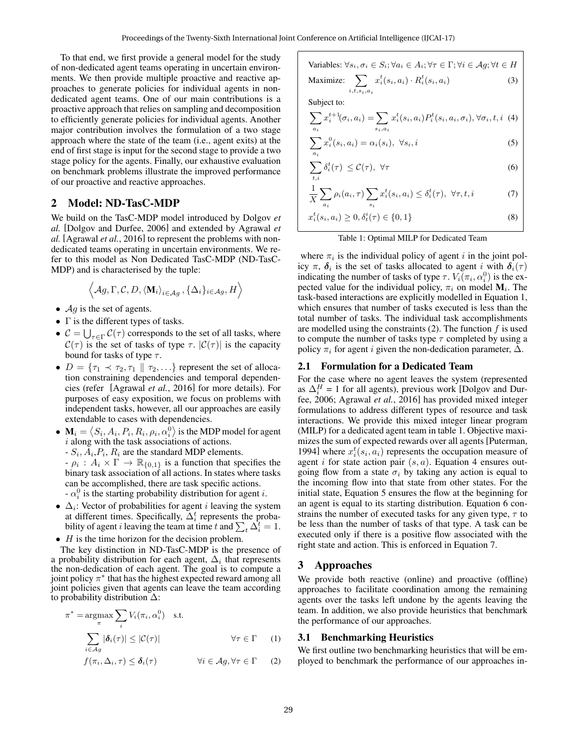To that end, we first provide a general model for the study of non-dedicated agent teams operating in uncertain environments. We then provide multiple proactive and reactive approaches to generate policies for individual agents in nondedicated agent teams. One of our main contributions is a proactive approach that relies on sampling and decomposition to efficiently generate policies for individual agents. Another major contribution involves the formulation of a two stage approach where the state of the team (i.e., agent exits) at the end of first stage is input for the second stage to provide a two stage policy for the agents. Finally, our exhaustive evaluation on benchmark problems illustrate the improved performance of our proactive and reactive approaches.

# 2 Model: ND-TasC-MDP

We build on the TasC-MDP model introduced by Dolgov *et al.* [Dolgov and Durfee, 2006] and extended by Agrawal *et al.* [Agrawal *et al.*, 2016] to represent the problems with nondedicated teams operating in uncertain environments. We refer to this model as Non Dedicated TasC-MDP (ND-TasC-MDP) and is characterised by the tuple:

$$
\left\langle \mathcal{A}g,\Gamma,\mathcal{C},D,\left\langle \mathbf{M}_i\right\rangle_{i\in\mathcal{A}g},\{\Delta_i\}_{i\in\mathcal{A}g},H\right\rangle
$$

•  $\mathcal{A}g$  is the set of agents.

π

- Γ is the different types of tasks.
- $C = \bigcup_{\tau \in \Gamma} C(\tau)$  corresponds to the set of all tasks, where  $C(\tau)$  is the set of tasks of type  $\tau$ .  $|C(\tau)|$  is the capacity bound for tasks of type  $\tau$ .
- $D = \{\tau_1 \prec \tau_2, \tau_1 \mid \tau_2, \ldots\}$  represent the set of allocation constraining dependencies and temporal dependencies (refer [Agrawal *et al.*, 2016] for more details). For purposes of easy exposition, we focus on problems with independent tasks, however, all our approaches are easily extendable to cases with dependencies.
- $\bullet \mathbf{M}_i = \left\langle S_i, A_i, P_i, R_i, \rho_i, \alpha_i^0 \right\rangle$  is the MDP model for agent i along with the task associations of actions.  $-S_i, A_i, P_i, R_i$  are the standard MDP elements.  $-\rho_i : A_i \times \Gamma \to \mathbb{R}_{\{0,1\}}$  is a function that specifies the binary task association of all actions. In states where tasks can be accomplished, there are task specific actions.  $-\alpha_i^0$  is the starting probability distribution for agent *i*.
- $\Delta_i$ : Vector of probabilities for agent *i* leaving the system at different times. Specifically,  $\Delta_i^t$  represents the probability of agent *i* leaving the team at time t and  $\sum_{t} \Delta_i^t = 1$ .
- $\bullet$  *H* is the time horizon for the decision problem.

The key distinction in ND-TasC-MDP is the presence of a probability distribution for each agent,  $\Delta_i$  that represents the non-dedication of each agent. The goal is to compute a joint policy  $\pi^*$  that has the highest expected reward among all joint policies given that agents can leave the team according to probability distribution ∆:

$$
* = \underset{\pi}{\operatorname{argmax}} \sum_{i} V_i(\pi_i, \alpha_i^0) \quad \text{s.t.}
$$
\n
$$
\sum_{i \in Ag} |\delta_i(\tau)| \le |\mathcal{C}(\tau)| \qquad \forall \tau \in \Gamma \quad (1)
$$

$$
f(\pi_i, \Delta_i, \tau) \leq \delta_i(\tau) \qquad \forall i \in \mathcal{A}\mathcal{G}, \forall \tau \in \Gamma \qquad (2)
$$

Variables: 
$$
\forall s_i, \sigma_i \in S_i; \forall a_i \in A_i; \forall \tau \in \Gamma; \forall i \in Ag; \forall t \in H
$$
  
Maximize:  $\sum x_i^t(s_i, a_i) \cdot R_i^t(s_i, a_i)$  (3)

Subject to:

 $i,t,s_i,a_i$ 

$$
\sum_{a_i} x_i^{t+1}(\sigma_i, a_i) = \sum_{s_i, a_i} x_i^t(s_i, a_i) P_i^t(s_i, a_i, \sigma_i), \forall \sigma_i, t, i \tag{4}
$$

$$
\sum_{a_i} x_i^0(s_i, a_i) = \alpha_i(s_i), \ \forall s_i, i
$$
\n<sup>(5)</sup>

$$
\sum_{t,i} \delta_i^t(\tau) \leq \mathcal{C}(\tau), \ \forall \tau \tag{6}
$$

$$
\frac{1}{X} \sum_{a_i} \rho_i(a_i, \tau) \sum_{s_i} x_i^t(s_i, a_i) \le \delta_i^t(\tau), \ \forall \tau, t, i \tag{7}
$$

$$
x_i^t(s_i, a_i) \ge 0, \delta_t^i(\tau) \in \{0, 1\}
$$
 (8)

#### Table 1: Optimal MILP for Dedicated Team

where  $\pi_i$  is the individual policy of agent i in the joint policy  $\pi$ ,  $\delta_i$  is the set of tasks allocated to agent i with  $\delta_i(\tau)$ indicating the number of tasks of type  $\tau$ .  $V_i(\pi_i, \alpha_i^0)$  is the expected value for the individual policy,  $\pi_i$  on model  $M_i$ . The task-based interactions are explicitly modelled in Equation 1, which ensures that number of tasks executed is less than the total number of tasks. The individual task accomplishments are modelled using the constraints  $(2)$ . The function f is used to compute the number of tasks type  $\tau$  completed by using a policy  $\pi_i$  for agent i given the non-dedication parameter,  $\Delta$ .

#### 2.1 Formulation for a Dedicated Team

For the case where no agent leaves the system (represented as  $\Delta_i^H = 1$  for all agents), previous work [Dolgov and Durfee, 2006; Agrawal *et al.*, 2016] has provided mixed integer formulations to address different types of resource and task interactions. We provide this mixed integer linear program (MILP) for a dedicated agent team in table 1. Objective maximizes the sum of expected rewards over all agents [Puterman, 1994] where  $x_i^t(s_i, a_i)$  represents the occupation measure of agent i for state action pair  $(s, a)$ . Equation 4 ensures outgoing flow from a state  $\sigma_i$  by taking any action is equal to the incoming flow into that state from other states. For the initial state, Equation 5 ensures the flow at the beginning for an agent is equal to its starting distribution. Equation 6 constrains the number of executed tasks for any given type,  $\tau$  to be less than the number of tasks of that type. A task can be executed only if there is a positive flow associated with the right state and action. This is enforced in Equation 7.

#### 3 Approaches

We provide both reactive (online) and proactive (offline) approaches to facilitate coordination among the remaining agents over the tasks left undone by the agents leaving the team. In addition, we also provide heuristics that benchmark the performance of our approaches.

#### 3.1 Benchmarking Heuristics

We first outline two benchmarking heuristics that will be employed to benchmark the performance of our approaches in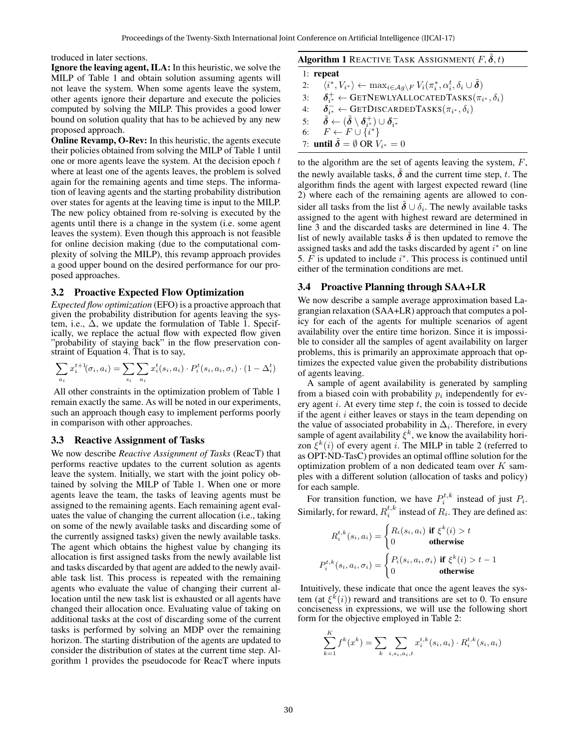troduced in later sections.

Ignore the leaving agent, ILA: In this heuristic, we solve the MILP of Table 1 and obtain solution assuming agents will not leave the system. When some agents leave the system, other agents ignore their departure and execute the policies computed by solving the MILP. This provides a good lower bound on solution quality that has to be achieved by any new proposed approach.

Online Revamp, O-Rev: In this heuristic, the agents execute their policies obtained from solving the MILP of Table 1 until one or more agents leave the system. At the decision epoch  $t$ where at least one of the agents leaves, the problem is solved again for the remaining agents and time steps. The information of leaving agents and the starting probability distribution over states for agents at the leaving time is input to the MILP. The new policy obtained from re-solving is executed by the agents until there is a change in the system (i.e. some agent leaves the system). Even though this approach is not feasible for online decision making (due to the computational complexity of solving the MILP), this revamp approach provides a good upper bound on the desired performance for our proposed approaches.

### 3.2 Proactive Expected Flow Optimization

*Expected flow optimization* (EFO) is a proactive approach that given the probability distribution for agents leaving the system, i.e.,  $\Delta$ , we update the formulation of Table 1. Specifically, we replace the actual flow with expected flow given "probability of staying back" in the flow preservation constraint of Equation 4. That is to say,

$$
\sum_{a_i} x_i^{t+1}(\sigma_i, a_i) = \sum_{s_i} \sum_{a_i} x_i^t(s_i, a_i) \cdot P_i^t(s_i, a_i, \sigma_i) \cdot (1 - \Delta_i^t)
$$

All other constraints in the optimization problem of Table 1 remain exactly the same. As will be noted in our experiments, such an approach though easy to implement performs poorly in comparison with other approaches.

#### 3.3 Reactive Assignment of Tasks

We now describe *Reactive Assignment of Tasks* (ReacT) that performs reactive updates to the current solution as agents leave the system. Initially, we start with the joint policy obtained by solving the MILP of Table 1. When one or more agents leave the team, the tasks of leaving agents must be assigned to the remaining agents. Each remaining agent evaluates the value of changing the current allocation (i.e., taking on some of the newly available tasks and discarding some of the currently assigned tasks) given the newly available tasks. The agent which obtains the highest value by changing its allocation is first assigned tasks from the newly available list and tasks discarded by that agent are added to the newly available task list. This process is repeated with the remaining agents who evaluate the value of changing their current allocation until the new task list is exhausted or all agents have changed their allocation once. Evaluating value of taking on additional tasks at the cost of discarding some of the current tasks is performed by solving an MDP over the remaining horizon. The starting distribution of the agents are updated to consider the distribution of states at the current time step. Algorithm 1 provides the pseudocode for ReacT where inputs

### Algorithm 1 REACTIVE TASK ASSIGNMENT( $F, \delta, t$ )

1: repeat 2:  $\langle i^*, V_{i^*} \rangle \leftarrow \max_{i \in \mathcal{A}_{g} \setminus F} V_i(\pi_i^*, \alpha_i^t, \delta_i \cup \tilde{\delta})$ 3:  $\pi_{i^*}^+ \leftarrow \text{GETNewLYALLOCATEDTASKS}(\pi_{i^*}, \delta_i)$ 4:  $\delta_{i^*}^- \leftarrow \text{GETDISCARDEDTASKS}(\pi_{i^*}, \delta_i)$  $\begin{array}{ll} 5: & \tilde{\boldsymbol{\delta}} \leftarrow (\tilde{\boldsymbol{\delta}} \setminus \boldsymbol{\delta}_{i^{*}}^{+}) \cup \boldsymbol{\delta}_{i^{*}}^{-} \ 6: & F \leftarrow F \cup \{i^{*}\} \end{array}$ 7: **until**  $\tilde{\delta} = \emptyset$  OR  $V_{i^*} = 0$ 

to the algorithm are the set of agents leaving the system,  $F$ , the newly available tasks,  $\delta$  and the current time step, t. The algorithm finds the agent with largest expected reward (line 2) where each of the remaining agents are allowed to consider all tasks from the list  $\tilde{\delta} \cup \delta_i$ . The newly available tasks assigned to the agent with highest reward are determined in line 3 and the discarded tasks are determined in line 4. The list of newly available tasks  $\delta$  is then updated to remove the assigned tasks and add the tasks discarded by agent  $i^*$  on line 5.  $\overline{F}$  is updated to include  $i^*$ . This process is continued until either of the termination conditions are met.

#### 3.4 Proactive Planning through SAA+LR

We now describe a sample average approximation based Lagrangian relaxation (SAA+LR) approach that computes a policy for each of the agents for multiple scenarios of agent availability over the entire time horizon. Since it is impossible to consider all the samples of agent availability on larger problems, this is primarily an approximate approach that optimizes the expected value given the probability distributions of agents leaving.

A sample of agent availability is generated by sampling from a biased coin with probability  $p_i$  independently for every agent  $i$ . At every time step  $t$ , the coin is tossed to decide if the agent  $i$  either leaves or stays in the team depending on the value of associated probability in  $\Delta_i$ . Therefore, in every sample of agent availability  $\xi^k$ , we know the availability horizon  $\xi^k(i)$  of every agent i. The MILP in table 2 (referred to as OPT-ND-TasC) provides an optimal offline solution for the optimization problem of a non dedicated team over  $K$  samples with a different solution (allocation of tasks and policy) for each sample.

For transition function, we have  $P_i^{t,k}$  instead of just  $P_i$ . Similarly, for reward,  $R_i^{t,k}$  instead of  $R_i$ . They are defined as:

$$
R_i^{t,k}(s_i, a_i) = \begin{cases} R_i(s_i, a_i) & \text{if } \xi^k(i) > t \\ 0 & \text{otherwise} \end{cases}
$$

$$
P_i^{t,k}(s_i, a_i, \sigma_i) = \begin{cases} P_i(s_i, a_i, \sigma_i) & \text{if } \xi^k(i) > t - 1 \\ 0 & \text{otherwise} \end{cases}
$$

Intuitively, these indicate that once the agent leaves the system (at  $\xi^k(i)$ ) reward and transitions are set to 0. To ensure conciseness in expressions, we will use the following short form for the objective employed in Table 2:

$$
\sum_{k=1}^{K} f^{k}(x^{k}) = \sum_{k} \sum_{i,s_{i},a_{i},t} x_{i}^{t,k}(s_{i},a_{i}) \cdot R_{i}^{t,k}(s_{i},a_{i})
$$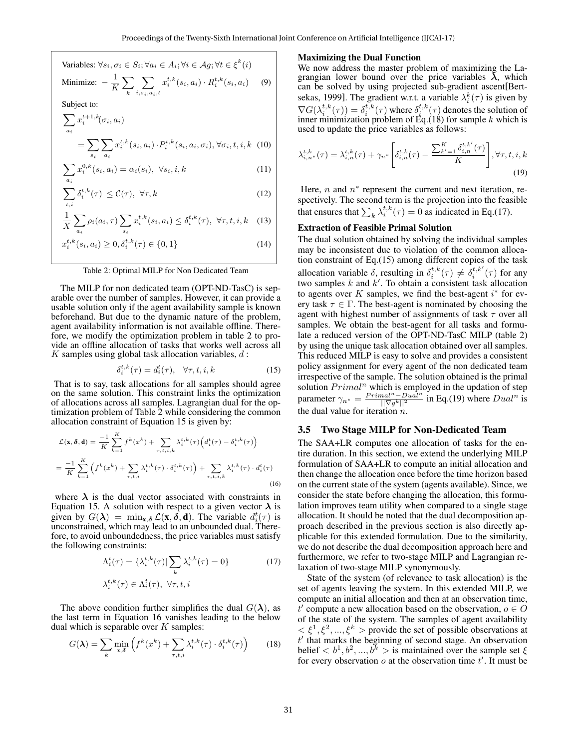Variables: 
$$
\forall s_i, \sigma_i \in S_i; \forall a_i \in A_i; \forall i \in \mathcal{A}g; \forall t \in \xi^k(i)
$$

 $x_i^{t,k}(s_i, a_i) \cdot R_i^{t,k}(s_i, a_i)$  (9)

 $\sum$  $i,s_i,a_i,t$ 

Subject to:

x

Minimize:  $-\frac{1}{\nu}$ 

 $t+1,k$ 

K  $\sum$ k

$$
\sum_{a_i} x_i^{t+1,k}(\sigma_i, a_i)
$$
\n
$$
= \sum_{s_i} \sum_{a_i} x_i^{t,k}(s_i, a_i) \cdot P_i^{t,k}(s_i, a_i, \sigma_i), \forall \sigma_i, t, i, k \quad (10)
$$

$$
\sum_{a_i} x_i^{0,k}(s_i, a_i) = \alpha_i(s_i), \ \forall s_i, i, k \tag{11}
$$

$$
\sum_{t,i} \delta_i^{t,k}(\tau) \leq \mathcal{C}(\tau), \ \forall \tau, k \tag{12}
$$

$$
\frac{1}{X} \sum_{a_i} \rho_i(a_i, \tau) \sum_{s_i} x_i^{t, k}(s_i, a_i) \le \delta_i^{t, k}(\tau), \ \forall \tau, t, i, k \quad (13)
$$

$$
t_i^{t,k}(s_i, a_i) \ge 0, \delta_i^{t,k}(\tau) \in \{0, 1\}
$$
 (14)

#### Table 2: Optimal MILP for Non Dedicated Team

The MILP for non dedicated team (OPT-ND-TasC) is separable over the number of samples. However, it can provide a usable solution only if the agent availability sample is known beforehand. But due to the dynamic nature of the problem, agent availability information is not available offline. Therefore, we modify the optimization problem in table 2 to provide an offline allocation of tasks that works well across all  $K$  samples using global task allocation variables,  $d$ :

$$
\delta_i^{t,k}(\tau) = d_i^t(\tau), \quad \forall \tau, t, i, k \tag{15}
$$

That is to say, task allocations for all samples should agree on the same solution. This constraint links the optimization of allocations across all samples. Lagrangian dual for the optimization problem of Table 2 while considering the common allocation constraint of Equation 15 is given by:

$$
\mathcal{L}(\mathbf{x}, \delta, \mathbf{d}) = \frac{-1}{K} \sum_{k=1}^{K} f^k(x^k) + \sum_{\tau, t, i, k} \lambda_i^{t, k}(\tau) \Big( d_i^t(\tau) - \delta_i^{t, k}(\tau) \Big)
$$

$$
= \frac{-1}{K} \sum_{k=1}^{K} \Big( f^k(x^k) + \sum_{\tau, t, i} \lambda_i^{t, k}(\tau) \cdot \delta_i^{t, k}(\tau) \Big) + \sum_{\tau, t, i, k} \lambda_i^{t, k}(\tau) \cdot d_i^t(\tau)
$$
(16)

where  $\lambda$  is the dual vector associated with constraints in Equation 15. A solution with respect to a given vector  $\lambda$  is given by  $G(\lambda) = \min_{\mathbf{x}, \delta} \mathcal{L}(\mathbf{x}, \delta, \mathbf{d})$ . The variable  $d_i^t(\tau)$  is unconstrained, which may lead to an unbounded dual. Therefore, to avoid unboundedness, the price variables must satisfy the following constraints:

$$
\Lambda_i^t(\tau) = \{\lambda_i^{t,k}(\tau)| \sum_k \lambda_i^{t,k}(\tau) = 0\}
$$
\n
$$
\lambda_i^{t,k}(\tau) \in \Lambda_i^t(\tau), \ \forall \tau, t, i
$$
\n(17)

The above condition further simplifies the dual  $G(\lambda)$ , as the last term in Equation 16 vanishes leading to the below dual which is separable over  $K$  samples:

$$
G(\lambda) = \sum_{k} \min_{\mathbf{x}, \delta} \left( f^{k}(x^{k}) + \sum_{\tau, t, i} \lambda_{i}^{t, k}(\tau) \cdot \delta_{i}^{t, k}(\tau) \right) \tag{18}
$$

#### Maximizing the Dual Function

We now address the master problem of maximizing the Lagrangian lower bound over the price variables  $\lambda$ , which can be solved by using projected sub-gradient ascent[Bertsekas, 1999]. The gradient w.r.t. a variable  $\lambda_i^k(\tau)$  is given by  $\nabla G(\lambda_i^{t,k}(\tau)) = \delta_i^{t,k}(\tau)$  where  $\delta_i^{t,k}(\tau)$  denotes the solution of inner minimization problem of Eq.(18) for sample k which is used to update the price variables as follows:

$$
\lambda_{i,n^*}^{t,k}(\tau) = \lambda_{i,n}^{t,k}(\tau) + \gamma_{n^*} \left[ \delta_{i,n}^{t,k}(\tau) - \frac{\sum_{k'=1}^K \delta_{i,n}^{t,k'}(\tau)}{K} \right], \forall \tau, t, i, k
$$
\n(19)

Here,  $n$  and  $n^*$  represent the current and next iteration, respectively. The second term is the projection into the feasible that ensures that  $\sum_{k} \lambda_i^{t,k}(\tau) = 0$  as indicated in Eq.(17).

#### Extraction of Feasible Primal Solution

The dual solution obtained by solving the individual samples may be inconsistent due to violation of the common allocation constraint of Eq.(15) among different copies of the task allocation variable  $\delta$ , resulting in  $\delta_i^{t,k}(\tau) \neq \delta_i^{t,k'}(\tau)$  for any two samples  $k$  and  $k'$ . To obtain a consistent task allocation to agents over K samples, we find the best-agent  $i^*$  for every task  $\tau \in \Gamma$ . The best-agent is nominated by choosing the agent with highest number of assignments of task  $\tau$  over all samples. We obtain the best-agent for all tasks and formulate a reduced version of the OPT-ND-TasC MILP (table 2) by using the unique task allocation obtained over all samples. This reduced MILP is easy to solve and provides a consistent policy assignment for every agent of the non dedicated team irrespective of the sample. The solution obtained is the primal solution  $Primal<sup>n</sup>$  which is employed in the updation of step parameter  $\gamma_{n^*} = \frac{Primal^n - Dual^n}{\vert \vert \nabla g^k \vert \vert^2}$  in Eq.(19) where  $Dual^n$  is the dual value for iteration  $n$ .

#### 3.5 Two Stage MILP for Non-Dedicated Team

The SAA+LR computes one allocation of tasks for the entire duration. In this section, we extend the underlying MILP formulation of SAA+LR to compute an initial allocation and then change the allocation once before the time horizon based on the current state of the system (agents available). Since, we consider the state before changing the allocation, this formulation improves team utility when compared to a single stage allocation. It should be noted that the dual decomposition approach described in the previous section is also directly applicable for this extended formulation. Due to the similarity, we do not describe the dual decomposition approach here and furthermore, we refer to two-stage MILP and Lagrangian relaxation of two-stage MILP synonymously.

State of the system (of relevance to task allocation) is the set of agents leaving the system. In this extended MILP, we compute an initial allocation and then at an observation time, t' compute a new allocation based on the observation,  $o \in O$ of the state of the system. The samples of agent availability  $\langle \xi^1, \xi^2, ..., \xi^k \rangle$  provide the set of possible observations at  $t'$  that marks the beginning of second stage. An observation belief  $\langle b^1, b^2, ..., b^k \rangle$  is maintained over the sample set  $\xi$ for every observation  $o$  at the observation time  $t'$ . It must be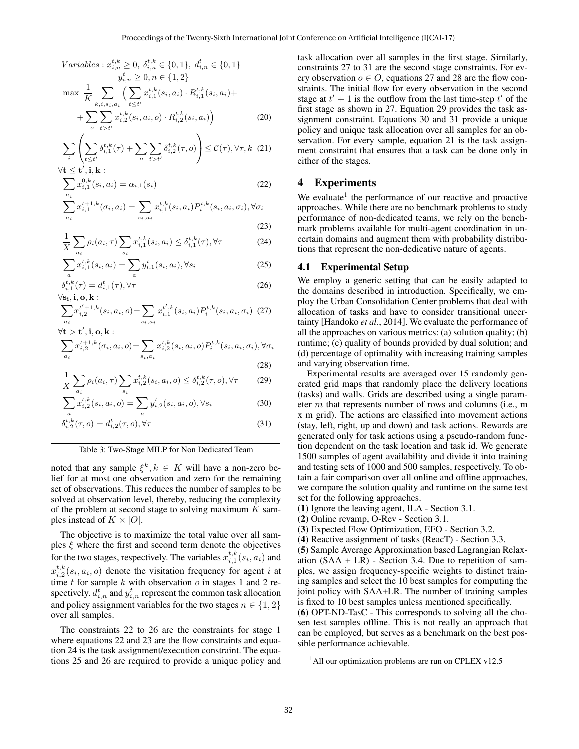$$
Variables: x_{i,n}^{t,k} \ge 0, \ \delta_{i,n}^{t,k} \in \{0,1\}, \ d_{i,n}^t \in \{0,1\}
$$
\n
$$
y_{i,n}^t \ge 0, n \in \{1,2\}
$$
\n
$$
\max \frac{1}{K} \sum_{k,i,s_i,a_i} \left( \sum_{t \le t'} x_{i,1}^{t,k}(s_i,a_i) \cdot R_{i,1}^{t,k}(s_i,a_i) + \sum_{o} \sum_{t \ge t'} x_{i,2}^{t,k}(s_i,a_i,o) \cdot R_{i,2}^{t,k}(s_i,a_i) \right)
$$
\n
$$
(20)
$$

$$
\sum_{i} \left( \sum_{t \le t'} \delta_{i,1}^{t,k}(\tau) + \sum_{o} \sum_{t > t'} \delta_{i,2}^{t,k}(\tau,o) \right) \le C(\tau), \forall \tau, k \tag{21}
$$

$$
\forall \mathbf{t} \leq \mathbf{t}', \mathbf{i}, \mathbf{k} : \sum_{a_i} x_{i,1}^{0,k}(s_i, a_i) = \alpha_{i,1}(s_i)
$$
\n(22)

$$
\sum_{a_i} x_{i,1}^{t+1,k}(\sigma_i, a_i) = \sum_{s_i, a_i} x_{i,1}^{t,k}(s_i, a_i) P_i^{t,k}(s_i, a_i, \sigma_i), \forall \sigma_i
$$
\n(23)

$$
\frac{1}{X} \sum_{a_i} \rho_i(a_i, \tau) \sum_{s_i} x_{i,1}^{t,k}(s_i, a_i) \le \delta_{i,1}^{t,k}(\tau), \forall \tau
$$
\n(24)

$$
\sum_{a} x_{i,1}^{t,k}(s_i, a_i) = \sum_{a} y_{i,1}^{t}(s_i, a_i), \forall s_i
$$
 (25)

$$
\delta_{i,1}^{t,k}(\tau) = d_{i,1}^t(\tau), \forall \tau
$$
\n
$$
\forall \mathbf{s}_i, \mathbf{i}_i \mathbf{o}_i, \mathbf{k}:
$$
\n(26)

$$
\forall s_i, i, o, k: \newline \sum_{a_i} x_{i,2}^{t'+1,k}(s_i, a_i, o) = \sum_{s_i, a_i} x_{i,1}^{t',k}(s_i, a_i) P_i^{t,k}(s_i, a_i, \sigma_i)
$$
 (27)

$$
\forall \mathbf{t} > \mathbf{t}', \mathbf{i}, \mathbf{o}, \mathbf{k} : \\ \sum_{a_i} x_{i,2}^{t+1,k}(\sigma_i, a_i, o) = \sum_{s_i, a_i} x_{i,2}^{t,k}(s_i, a_i, o) P_i^{t,k}(s_i, a_i, \sigma_i), \forall \sigma_i
$$

$$
(28)
$$

$$
\frac{1}{X} \sum_{a_i} \rho_i(a_i, \tau) \sum_{s_i} x_{i,2}^{t,k}(s_i, a_i, o) \leq \delta_{i,2}^{t,k}(\tau, o), \forall \tau
$$
\n(29)

$$
\sum_{a} x_{i,2}^{t,k}(s_i, a_i, o) = \sum_{a} y_{i,2}^t(s_i, a_i, o), \forall s_i
$$
 (30)

$$
\delta_{i,2}^{t,k}(\tau, o) = d_{i,2}^t(\tau, o), \forall \tau
$$
\n(31)

Table 3: Two-Stage MILP for Non Dedicated Team

noted that any sample  $\xi^k, k \in K$  will have a non-zero belief for at most one observation and zero for the remaining set of observations. This reduces the number of samples to be solved at observation level, thereby, reducing the complexity of the problem at second stage to solving maximum  $K$  samples instead of  $K \times |O|$ .

The objective is to maximize the total value over all samples  $\xi$  where the first and second term denote the objectives for the two stages, respectively. The variables  $x_{i,1}^{t,k}(s_i, a_i)$  and  $x_{i,2}^{t,k}(s_i, a_i, o)$  denote the visitation frequency for agent i at time  $t$  for sample  $k$  with observation  $o$  in stages 1 and 2 respectively.  $d_{i,n}^t$  and  $y_{i,n}^t$  represent the common task allocation and policy assignment variables for the two stages  $n \in \{1, 2\}$ over all samples.

The constraints 22 to 26 are the constraints for stage 1 where equations 22 and 23 are the flow constraints and equation 24 is the task assignment/execution constraint. The equations 25 and 26 are required to provide a unique policy and task allocation over all samples in the first stage. Similarly, constraints 27 to 31 are the second stage constraints. For every observation  $o \in O$ , equations 27 and 28 are the flow constraints. The initial flow for every observation in the second stage at  $t' + 1$  is the outflow from the last time-step  $t'$  of the first stage as shown in 27. Equation 29 provides the task assignment constraint. Equations 30 and 31 provide a unique policy and unique task allocation over all samples for an observation. For every sample, equation 21 is the task assignment constraint that ensures that a task can be done only in either of the stages.

# 4 Experiments

We evaluate<sup>1</sup> the performance of our reactive and proactive approaches. While there are no benchmark problems to study performance of non-dedicated teams, we rely on the benchmark problems available for multi-agent coordination in uncertain domains and augment them with probability distributions that represent the non-dedicative nature of agents.

#### 4.1 Experimental Setup

We employ a generic setting that can be easily adapted to the domains described in introduction. Specifically, we employ the Urban Consolidation Center problems that deal with allocation of tasks and have to consider transitional uncertainty [Handoko *et al.*, 2014]. We evaluate the performance of all the approaches on various metrics: (a) solution quality; (b) runtime; (c) quality of bounds provided by dual solution; and (d) percentage of optimality with increasing training samples and varying observation time.

Experimental results are averaged over 15 randomly generated grid maps that randomly place the delivery locations (tasks) and walls. Grids are described using a single parameter m that represents number of rows and columns (i.e., m x m grid). The actions are classified into movement actions (stay, left, right, up and down) and task actions. Rewards are generated only for task actions using a pseudo-random function dependent on the task location and task id. We generate 1500 samples of agent availability and divide it into training and testing sets of 1000 and 500 samples, respectively. To obtain a fair comparison over all online and offline approaches, we compare the solution quality and runtime on the same test set for the following approaches.

(1) Ignore the leaving agent, ILA - Section 3.1.

(3) Expected Flow Optimization, EFO - Section 3.2.

(4) Reactive assignment of tasks (ReacT) - Section 3.3.

(5) Sample Average Approximation based Lagrangian Relaxation  $(SAA + LR)$  - Section 3.4. Due to repetition of samples, we assign frequency-specific weights to distinct training samples and select the 10 best samples for computing the joint policy with SAA+LR. The number of training samples is fixed to 10 best samples unless mentioned specifically.

(6) OPT-ND-TasC - This corresponds to solving all the chosen test samples offline. This is not really an approach that can be employed, but serves as a benchmark on the best possible performance achievable.

<sup>(</sup>2) Online revamp, O-Rev - Section 3.1.

 $1$ All our optimization problems are run on CPLEX v12.5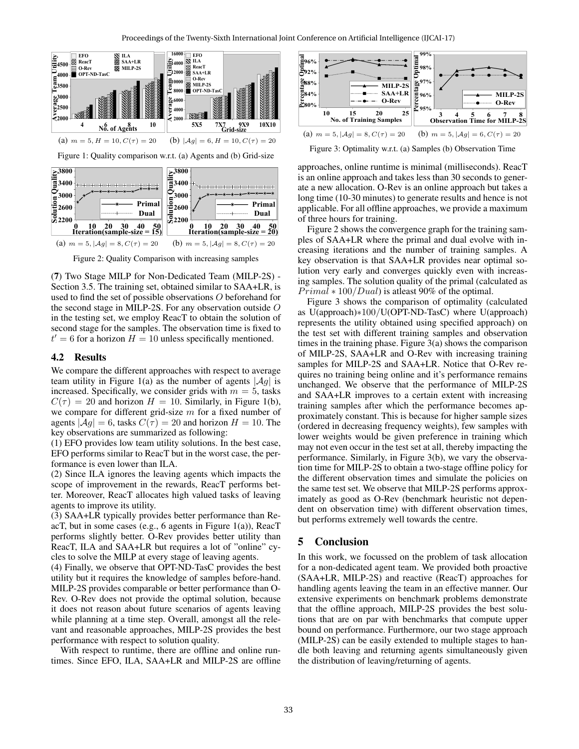

Figure 2: Quality Comparison with increasing samples

(7) Two Stage MILP for Non-Dedicated Team (MILP-2S) - Section 3.5. The training set, obtained similar to SAA+LR, is used to find the set of possible observations O beforehand for the second stage in MILP-2S. For any observation outside O in the testing set, we employ ReacT to obtain the solution of second stage for the samples. The observation time is fixed to  $t' = 6$  for a horizon  $H = 10$  unless specifically mentioned.

#### 4.2 Results

We compare the different approaches with respect to average team utility in Figure 1(a) as the number of agents  $|\mathcal{A}g|$  is increased. Specifically, we consider grids with  $m = 5$ , tasks  $C(\tau) = 20$  and horizon  $H = 10$ . Similarly, in Figure 1(b), we compare for different grid-size  $m$  for a fixed number of agents  $|\mathcal{A}g| = 6$ , tasks  $C(\tau) = 20$  and horizon  $H = 10$ . The key observations are summarized as following:

(1) EFO provides low team utility solutions. In the best case, EFO performs similar to ReacT but in the worst case, the performance is even lower than ILA.

(2) Since ILA ignores the leaving agents which impacts the scope of improvement in the rewards, ReacT performs better. Moreover, ReacT allocates high valued tasks of leaving agents to improve its utility.

(3) SAA+LR typically provides better performance than ReacT, but in some cases (e.g., 6 agents in Figure 1(a)), ReacT performs slightly better. O-Rev provides better utility than ReacT, ILA and SAA+LR but requires a lot of "online" cycles to solve the MILP at every stage of leaving agents.

(4) Finally, we observe that OPT-ND-TasC provides the best utility but it requires the knowledge of samples before-hand. MILP-2S provides comparable or better performance than O-Rev. O-Rev does not provide the optimal solution, because it does not reason about future scenarios of agents leaving while planning at a time step. Overall, amongst all the relevant and reasonable approaches, MILP-2S provides the best performance with respect to solution quality.

With respect to runtime, there are offline and online runtimes. Since EFO, ILA, SAA+LR and MILP-2S are offline



Figure 3: Optimality w.r.t. (a) Samples (b) Observation Time

approaches, online runtime is minimal (milliseconds). ReacT is an online approach and takes less than 30 seconds to generate a new allocation. O-Rev is an online approach but takes a long time (10-30 minutes) to generate results and hence is not applicable. For all offline approaches, we provide a maximum of three hours for training.

Figure 2 shows the convergence graph for the training samples of SAA+LR where the primal and dual evolve with increasing iterations and the number of training samples. A key observation is that SAA+LR provides near optimal solution very early and converges quickly even with increasing samples. The solution quality of the primal (calculated as  $Primal * 100/Dual$  is at least 90% of the optimal.

Figure 3 shows the comparison of optimality (calculated as U(approach)∗100/U(OPT-ND-TasC) where U(approach) represents the utility obtained using specified approach) on the test set with different training samples and observation times in the training phase. Figure 3(a) shows the comparison of MILP-2S, SAA+LR and O-Rev with increasing training samples for MILP-2S and SAA+LR. Notice that O-Rev requires no training being online and it's performance remains unchanged. We observe that the performance of MILP-2S and SAA+LR improves to a certain extent with increasing training samples after which the performance becomes approximately constant. This is because for higher sample sizes (ordered in decreasing frequency weights), few samples with lower weights would be given preference in training which may not even occur in the test set at all, thereby impacting the performance. Similarly, in Figure 3(b), we vary the observation time for MILP-2S to obtain a two-stage offline policy for the different observation times and simulate the policies on the same test set. We observe that MILP-2S performs approximately as good as O-Rev (benchmark heuristic not dependent on observation time) with different observation times, but performs extremely well towards the centre.

#### 5 Conclusion

In this work, we focussed on the problem of task allocation for a non-dedicated agent team. We provided both proactive (SAA+LR, MILP-2S) and reactive (ReacT) approaches for handling agents leaving the team in an effective manner. Our extensive experiments on benchmark problems demonstrate that the offline approach, MILP-2S provides the best solutions that are on par with benchmarks that compute upper bound on performance. Furthermore, our two stage approach (MILP-2S) can be easily extended to multiple stages to handle both leaving and returning agents simultaneously given the distribution of leaving/returning of agents.